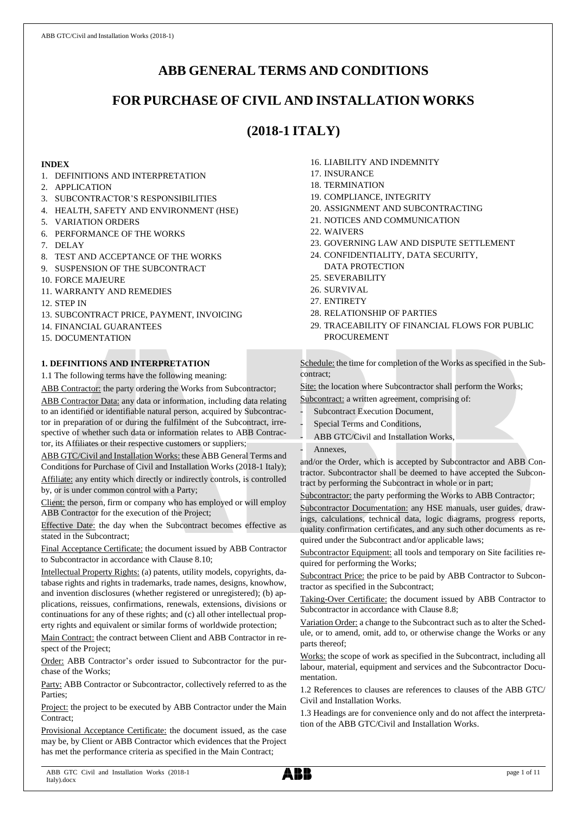# **ABB GENERAL TERMS AND CONDITIONS**

# **FOR PURCHASE OF CIVIL AND INSTALLATION WORKS**

# **(2018-1 ITALY)**

# **INDEX**

- 1. DEFINITIONS AND INTERPRETATION
- 2. APPLICATION
- 3. SUBCONTRACTOR'S RESPONSIBILITIES
- 4. HEALTH, SAFETY AND ENVIRONMENT (HSE)
- 5. VARIATION ORDERS
- 6. PERFORMANCE OF THE WORKS
- 7. DELAY
- 8. TEST AND ACCEPTANCE OF THE WORKS
- 9. SUSPENSION OF THE SUBCONTRACT
- 10. FORCE MAJEURE
- 11. WARRANTY AND REMEDIES
- 12. STEP IN
- 13. SUBCONTRACT PRICE, PAYMENT, INVOICING
- 14. FINANCIAL GUARANTEES
- 15. DOCUMENTATION

# **1. DEFINITIONS AND INTERPRETATION**

1.1 The following terms have the following meaning:

ABB Contractor: the party ordering the Works from Subcontractor; ABB Contractor Data: any data or information, including data relating

to an identified or identifiable natural person, acquired by Subcontractor in preparation of or during the fulfilment of the Subcontract, irrespective of whether such data or information relates to ABB Contractor, its Affiliates or their respective customers or suppliers;

ABB GTC/Civil and Installation Works: these ABB General Terms and Conditions for Purchase of Civil and Installation Works (2018-1 Italy); Affiliate: any entity which directly or indirectly controls, is controlled by, or is under common control with a Party;

Client: the person, firm or company who has employed or will employ ABB Contractor for the execution of the Project;

Effective Date: the day when the Subcontract becomes effective as stated in the Subcontract;

Final Acceptance Certificate: the document issued by ABB Contractor to Subcontractor in accordance with Clause 8.10;

Intellectual Property Rights: (a) patents, utility models, copyrights, database rights and rights in trademarks, trade names, designs, knowhow, and invention disclosures (whether registered or unregistered); (b) applications, reissues, confirmations, renewals, extensions, divisions or continuations for any of these rights; and (c) all other intellectual property rights and equivalent or similar forms of worldwide protection;

Main Contract: the contract between Client and ABB Contractor in respect of the Project;

Order: ABB Contractor's order issued to Subcontractor for the purchase of the Works;

Party: ABB Contractor or Subcontractor, collectively referred to as the **Parties** 

Project: the project to be executed by ABB Contractor under the Main Contract<sup>®</sup>

Provisional Acceptance Certificate: the document issued, as the case may be, by Client or ABB Contractor which evidences that the Project has met the performance criteria as specified in the Main Contract;

- 16. LIABILITY AND INDEMNITY
- 17. INSURANCE
- 18. TERMINATION
- 19. COMPLIANCE, INTEGRITY
- 20. ASSIGNMENT AND SUBCONTRACTING
- 21. NOTICES AND COMMUNICATION
- 22. WAIVERS
- 23. GOVERNING LAW AND DISPUTE SETTLEMENT
- 24. CONFIDENTIALITY, DATA SECURITY, DATA PROTECTION
- 25. SEVERABILITY
- 26. SURVIVAL
- 27. ENTIRETY
- 28. RELATIONSHIP OF PARTIES
- 29. TRACEABILITY OF FINANCIAL FLOWS FOR PUBLIC PROCUREMENT

Schedule: the time for completion of the Works as specified in the Subcontract;

Site: the location where Subcontractor shall perform the Works;

Subcontract: a written agreement, comprising of:

- Subcontract Execution Document,
- Special Terms and Conditions,
- ABB GTC/Civil and Installation Works,
- Annexes.

and/or the Order, which is accepted by Subcontractor and ABB Contractor. Subcontractor shall be deemed to have accepted the Subcontract by performing the Subcontract in whole or in part;

Subcontractor: the party performing the Works to ABB Contractor;

Subcontractor Documentation: any HSE manuals, user guides, drawings, calculations, technical data, logic diagrams, progress reports, quality confirmation certificates, and any such other documents as required under the Subcontract and/or applicable laws;

Subcontractor Equipment: all tools and temporary on Site facilities required for performing the Works;

Subcontract Price: the price to be paid by ABB Contractor to Subcontractor as specified in the Subcontract;

Taking-Over Certificate: the document issued by ABB Contractor to Subcontractor in accordance with Clause 8.8;

Variation Order: a change to the Subcontract such as to alter the Schedule, or to amend, omit, add to, or otherwise change the Works or any parts thereof;

Works: the scope of work as specified in the Subcontract, including all labour, material, equipment and services and the Subcontractor Documentation.

1.2 References to clauses are references to clauses of the ABB GTC/ Civil and Installation Works.

1.3 Headings are for convenience only and do not affect the interpretation of the ABB GTC/Civil and Installation Works.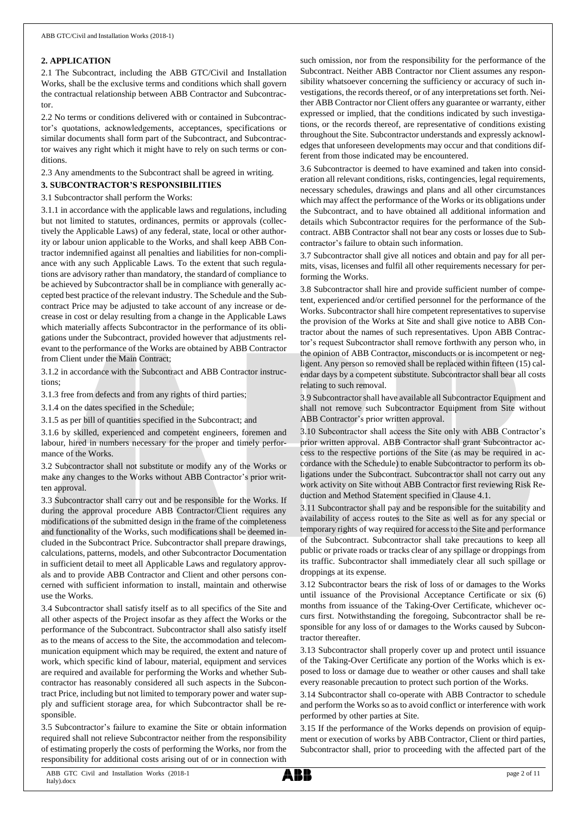#### **2. APPLICATION**

2.1 The Subcontract, including the ABB GTC/Civil and Installation Works, shall be the exclusive terms and conditions which shall govern the contractual relationship between ABB Contractor and Subcontractor.

2.2 No terms or conditions delivered with or contained in Subcontractor's quotations, acknowledgements, acceptances, specifications or similar documents shall form part of the Subcontract, and Subcontractor waives any right which it might have to rely on such terms or conditions.

2.3 Any amendments to the Subcontract shall be agreed in writing.

# **3. SUBCONTRACTOR'S RESPONSIBILITIES**

3.1 Subcontractor shall perform the Works:

3.1.1 in accordance with the applicable laws and regulations, including but not limited to statutes, ordinances, permits or approvals (collectively the Applicable Laws) of any federal, state, local or other authority or labour union applicable to the Works, and shall keep ABB Contractor indemnified against all penalties and liabilities for non-compliance with any such Applicable Laws. To the extent that such regulations are advisory rather than mandatory, the standard of compliance to be achieved by Subcontractor shall be in compliance with generally accepted best practice of the relevant industry. The Schedule and the Subcontract Price may be adjusted to take account of any increase or decrease in cost or delay resulting from a change in the Applicable Laws which materially affects Subcontractor in the performance of its obligations under the Subcontract, provided however that adjustments relevant to the performance of the Works are obtained by ABB Contractor from Client under the Main Contract;

3.1.2 in accordance with the Subcontract and ABB Contractor instructions;

3.1.3 free from defects and from any rights of third parties;

3.1.4 on the dates specified in the Schedule;

3.1.5 as per bill of quantities specified in the Subcontract; and

3.1.6 by skilled, experienced and competent engineers, foremen and labour, hired in numbers necessary for the proper and timely performance of the Works.

3.2 Subcontractor shall not substitute or modify any of the Works or make any changes to the Works without ABB Contractor's prior written approval.

3.3 Subcontractor shall carry out and be responsible for the Works. If during the approval procedure ABB Contractor/Client requires any modifications of the submitted design in the frame of the completeness and functionality of the Works, such modifications shall be deemed included in the Subcontract Price. Subcontractor shall prepare drawings, calculations, patterns, models, and other Subcontractor Documentation in sufficient detail to meet all Applicable Laws and regulatory approvals and to provide ABB Contractor and Client and other persons concerned with sufficient information to install, maintain and otherwise use the Works.

3.4 Subcontractor shall satisfy itself as to all specifics of the Site and all other aspects of the Project insofar as they affect the Works or the performance of the Subcontract. Subcontractor shall also satisfy itself as to the means of access to the Site, the accommodation and telecommunication equipment which may be required, the extent and nature of work, which specific kind of labour, material, equipment and services are required and available for performing the Works and whether Subcontractor has reasonably considered all such aspects in the Subcontract Price, including but not limited to temporary power and water supply and sufficient storage area, for which Subcontractor shall be responsible.

3.5 Subcontractor's failure to examine the Site or obtain information required shall not relieve Subcontractor neither from the responsibility of estimating properly the costs of performing the Works, nor from the responsibility for additional costs arising out of or in connection with

such omission, nor from the responsibility for the performance of the Subcontract. Neither ABB Contractor nor Client assumes any responsibility whatsoever concerning the sufficiency or accuracy of such investigations, the records thereof, or of any interpretations set forth. Neither ABB Contractor nor Client offers any guarantee or warranty, either expressed or implied, that the conditions indicated by such investigations, or the records thereof, are representative of conditions existing throughout the Site. Subcontractor understands and expressly acknowledges that unforeseen developments may occur and that conditions different from those indicated may be encountered.

3.6 Subcontractor is deemed to have examined and taken into consideration all relevant conditions, risks, contingencies, legal requirements, necessary schedules, drawings and plans and all other circumstances which may affect the performance of the Works or its obligations under the Subcontract, and to have obtained all additional information and details which Subcontractor requires for the performance of the Subcontract. ABB Contractor shall not bear any costs or losses due to Subcontractor's failure to obtain such information.

3.7 Subcontractor shall give all notices and obtain and pay for all permits, visas, licenses and fulfil all other requirements necessary for performing the Works.

3.8 Subcontractor shall hire and provide sufficient number of competent, experienced and/or certified personnel for the performance of the Works. Subcontractor shall hire competent representatives to supervise the provision of the Works at Site and shall give notice to ABB Contractor about the names of such representatives. Upon ABB Contractor's request Subcontractor shall remove forthwith any person who, in the opinion of ABB Contractor, misconducts or is incompetent or negligent. Any person so removed shall be replaced within fifteen (15) calendar days by a competent substitute. Subcontractor shall bear all costs relating to such removal.

3.9 Subcontractor shall have available all Subcontractor Equipment and shall not remove such Subcontractor Equipment from Site without ABB Contractor's prior written approval.

3.10 Subcontractor shall access the Site only with ABB Contractor's prior written approval. ABB Contractor shall grant Subcontractor access to the respective portions of the Site (as may be required in accordance with the Schedule) to enable Subcontractor to perform its obligations under the Subcontract. Subcontractor shall not carry out any work activity on Site without ABB Contractor first reviewing Risk Reduction and Method Statement specified in Clause 4.1.

3.11 Subcontractor shall pay and be responsible for the suitability and availability of access routes to the Site as well as for any special or temporary rights of way required for access to the Site and performance of the Subcontract. Subcontractor shall take precautions to keep all public or private roads or tracks clear of any spillage or droppings from its traffic. Subcontractor shall immediately clear all such spillage or droppings at its expense.

3.12 Subcontractor bears the risk of loss of or damages to the Works until issuance of the Provisional Acceptance Certificate or six (6) months from issuance of the Taking-Over Certificate, whichever occurs first. Notwithstanding the foregoing, Subcontractor shall be responsible for any loss of or damages to the Works caused by Subcontractor thereafter.

3.13 Subcontractor shall properly cover up and protect until issuance of the Taking-Over Certificate any portion of the Works which is exposed to loss or damage due to weather or other causes and shall take every reasonable precaution to protect such portion of the Works.

3.14 Subcontractor shall co-operate with ABB Contractor to schedule and perform the Works so as to avoid conflict or interference with work performed by other parties at Site.

3.15 If the performance of the Works depends on provision of equipment or execution of works by ABB Contractor, Client or third parties, Subcontractor shall, prior to proceeding with the affected part of the

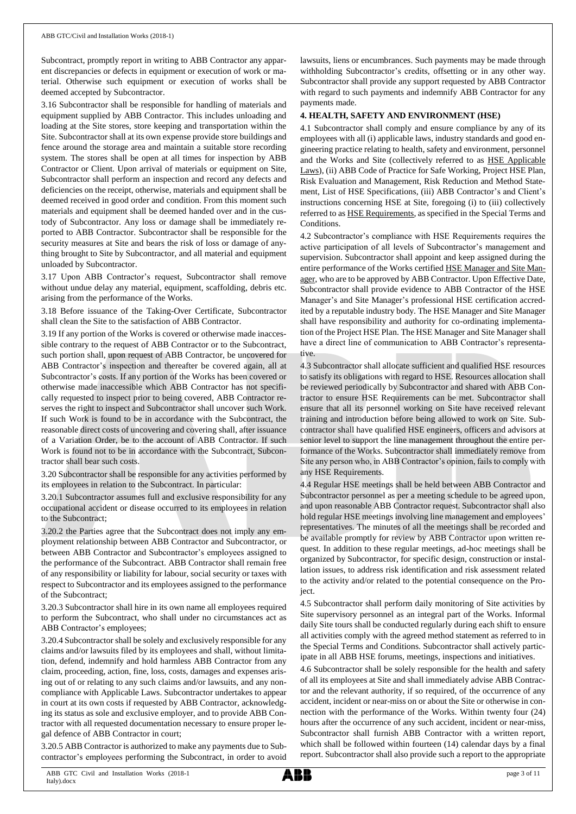Subcontract, promptly report in writing to ABB Contractor any apparent discrepancies or defects in equipment or execution of work or material. Otherwise such equipment or execution of works shall be deemed accepted by Subcontractor.

3.16 Subcontractor shall be responsible for handling of materials and equipment supplied by ABB Contractor. This includes unloading and loading at the Site stores, store keeping and transportation within the Site. Subcontractor shall at its own expense provide store buildings and fence around the storage area and maintain a suitable store recording system. The stores shall be open at all times for inspection by ABB Contractor or Client. Upon arrival of materials or equipment on Site, Subcontractor shall perform an inspection and record any defects and deficiencies on the receipt, otherwise, materials and equipment shall be deemed received in good order and condition. From this moment such materials and equipment shall be deemed handed over and in the custody of Subcontractor. Any loss or damage shall be immediately reported to ABB Contractor. Subcontractor shall be responsible for the security measures at Site and bears the risk of loss or damage of anything brought to Site by Subcontractor, and all material and equipment unloaded by Subcontractor.

3.17 Upon ABB Contractor's request, Subcontractor shall remove without undue delay any material, equipment, scaffolding, debris etc. arising from the performance of the Works.

3.18 Before issuance of the Taking-Over Certificate, Subcontractor shall clean the Site to the satisfaction of ABB Contractor.

3.19 If any portion of the Works is covered or otherwise made inaccessible contrary to the request of ABB Contractor or to the Subcontract, such portion shall, upon request of ABB Contractor, be uncovered for ABB Contractor's inspection and thereafter be covered again, all at Subcontractor's costs. If any portion of the Works has been covered or otherwise made inaccessible which ABB Contractor has not specifically requested to inspect prior to being covered, ABB Contractor reserves the right to inspect and Subcontractor shall uncover such Work. If such Work is found to be in accordance with the Subcontract, the reasonable direct costs of uncovering and covering shall, after issuance of a Variation Order, be to the account of ABB Contractor. If such Work is found not to be in accordance with the Subcontract, Subcontractor shall bear such costs.

3.20 Subcontractor shall be responsible for any activities performed by its employees in relation to the Subcontract. In particular:

3.20.1 Subcontractor assumes full and exclusive responsibility for any occupational accident or disease occurred to its employees in relation to the Subcontract;

3.20.2 the Parties agree that the Subcontract does not imply any employment relationship between ABB Contractor and Subcontractor, or between ABB Contractor and Subcontractor's employees assigned to the performance of the Subcontract. ABB Contractor shall remain free of any responsibility or liability for labour, social security or taxes with respect to Subcontractor and its employees assigned to the performance of the Subcontract;

3.20.3 Subcontractor shall hire in its own name all employees required to perform the Subcontract, who shall under no circumstances act as ABB Contractor's employees;

3.20.4 Subcontractorshall be solely and exclusively responsible for any claims and/or lawsuits filed by its employees and shall, without limitation, defend, indemnify and hold harmless ABB Contractor from any claim, proceeding, action, fine, loss, costs, damages and expenses arising out of or relating to any such claims and/or lawsuits, and any noncompliance with Applicable Laws. Subcontractor undertakes to appear in court at its own costs if requested by ABB Contractor, acknowledging its status as sole and exclusive employer, and to provide ABB Contractor with all requested documentation necessary to ensure proper legal defence of ABB Contractor in court;

3.20.5 ABB Contractor is authorized to make any payments due to Subcontractor's employees performing the Subcontract, in order to avoid

lawsuits, liens or encumbrances. Such payments may be made through withholding Subcontractor's credits, offsetting or in any other way. Subcontractor shall provide any support requested by ABB Contractor with regard to such payments and indemnify ABB Contractor for any payments made.

## **4. HEALTH, SAFETY AND ENVIRONMENT (HSE)**

4.1 Subcontractor shall comply and ensure compliance by any of its employees with all (i) applicable laws, industry standards and good engineering practice relating to health, safety and environment, personnel and the Works and Site (collectively referred to as HSE Applicable Laws), (ii) ABB Code of Practice for Safe Working, Project HSE Plan, Risk Evaluation and Management, Risk Reduction and Method Statement, List of HSE Specifications, (iii) ABB Contractor's and Client's instructions concerning HSE at Site, foregoing (i) to (iii) collectively referred to as HSE Requirements, as specified in the Special Terms and Conditions.

4.2 Subcontractor's compliance with HSE Requirements requires the active participation of all levels of Subcontractor's management and supervision. Subcontractor shall appoint and keep assigned during the entire performance of the Works certified HSE Manager and Site Manager, who are to be approved by ABB Contractor. Upon Effective Date, Subcontractor shall provide evidence to ABB Contractor of the HSE Manager's and Site Manager's professional HSE certification accredited by a reputable industry body. The HSE Manager and Site Manager shall have responsibility and authority for co-ordinating implementation of the Project HSE Plan. The HSE Manager and Site Manager shall have a direct line of communication to ABB Contractor's representative.

4.3 Subcontractor shall allocate sufficient and qualified HSE resources to satisfy its obligations with regard to HSE. Resources allocation shall be reviewed periodically by Subcontractor and shared with ABB Contractor to ensure HSE Requirements can be met. Subcontractor shall ensure that all its personnel working on Site have received relevant training and introduction before being allowed to work on Site. Subcontractor shall have qualified HSE engineers, officers and advisors at senior level to support the line management throughout the entire performance of the Works. Subcontractor shall immediately remove from Site any person who, in ABB Contractor's opinion, fails to comply with any HSE Requirements.

4.4 Regular HSE meetings shall be held between ABB Contractor and Subcontractor personnel as per a meeting schedule to be agreed upon, and upon reasonable ABB Contractor request. Subcontractor shall also hold regular HSE meetings involving line management and employees' representatives. The minutes of all the meetings shall be recorded and be available promptly for review by ABB Contractor upon written request. In addition to these regular meetings, ad-hoc meetings shall be organized by Subcontractor, for specific design, construction or installation issues, to address risk identification and risk assessment related to the activity and/or related to the potential consequence on the Project.

4.5 Subcontractor shall perform daily monitoring of Site activities by Site supervisory personnel as an integral part of the Works. Informal daily Site tours shall be conducted regularly during each shift to ensure all activities comply with the agreed method statement as referred to in the Special Terms and Conditions. Subcontractor shall actively participate in all ABB HSE forums, meetings, inspections and initiatives.

4.6 Subcontractor shall be solely responsible for the health and safety of all its employees at Site and shall immediately advise ABB Contractor and the relevant authority, if so required, of the occurrence of any accident, incident or near-miss on or about the Site or otherwise in connection with the performance of the Works. Within twenty four (24) hours after the occurrence of any such accident, incident or near-miss, Subcontractor shall furnish ABB Contractor with a written report, which shall be followed within fourteen (14) calendar days by a final report. Subcontractor shall also provide such a report to the appropriate

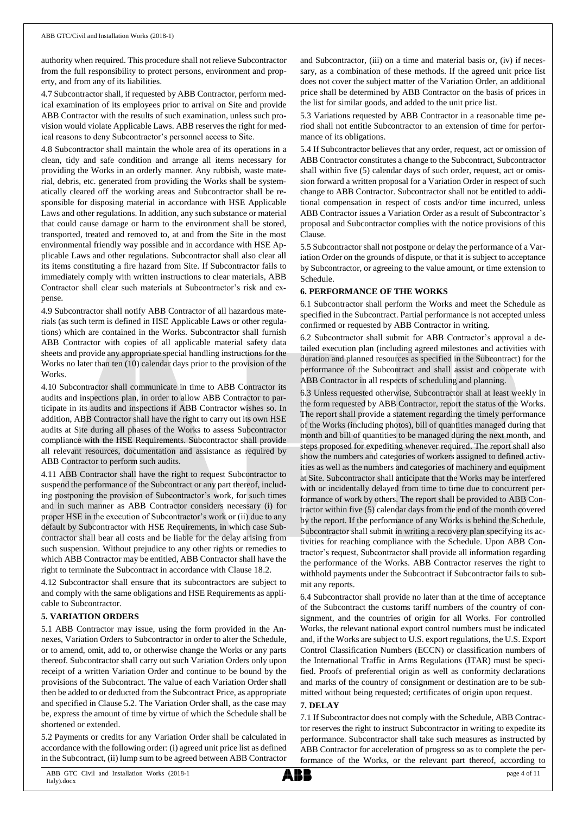authority when required. This procedure shall not relieve Subcontractor from the full responsibility to protect persons, environment and property, and from any of its liabilities.

4.7 Subcontractor shall, if requested by ABB Contractor, perform medical examination of its employees prior to arrival on Site and provide ABB Contractor with the results of such examination, unless such provision would violate Applicable Laws. ABB reserves the right for medical reasons to deny Subcontractor's personnel access to Site.

4.8 Subcontractor shall maintain the whole area of its operations in a clean, tidy and safe condition and arrange all items necessary for providing the Works in an orderly manner. Any rubbish, waste material, debris, etc. generated from providing the Works shall be systematically cleared off the working areas and Subcontractor shall be responsible for disposing material in accordance with HSE Applicable Laws and other regulations. In addition, any such substance or material that could cause damage or harm to the environment shall be stored, transported, treated and removed to, at and from the Site in the most environmental friendly way possible and in accordance with HSE Applicable Laws and other regulations. Subcontractor shall also clear all its items constituting a fire hazard from Site. If Subcontractor fails to immediately comply with written instructions to clear materials, ABB Contractor shall clear such materials at Subcontractor's risk and expense.

4.9 Subcontractor shall notify ABB Contractor of all hazardous materials (as such term is defined in HSE Applicable Laws or other regulations) which are contained in the Works. Subcontractor shall furnish ABB Contractor with copies of all applicable material safety data sheets and provide any appropriate special handling instructions for the Works no later than ten (10) calendar days prior to the provision of the Works.

4.10 Subcontractor shall communicate in time to ABB Contractor its audits and inspections plan, in order to allow ABB Contractor to participate in its audits and inspections if ABB Contractor wishes so. In addition, ABB Contractor shall have the right to carry out its own HSE audits at Site during all phases of the Works to assess Subcontractor compliance with the HSE Requirements. Subcontractor shall provide all relevant resources, documentation and assistance as required by ABB Contractor to perform such audits.

4.11 ABB Contractor shall have the right to request Subcontractor to suspend the performance of the Subcontract or any part thereof, including postponing the provision of Subcontractor's work, for such times and in such manner as ABB Contractor considers necessary (i) for proper HSE in the execution of Subcontractor's work or (ii) due to any default by Subcontractor with HSE Requirements, in which case Subcontractor shall bear all costs and be liable for the delay arising from such suspension. Without prejudice to any other rights or remedies to which ABB Contractor may be entitled, ABB Contractor shall have the right to terminate the Subcontract in accordance with Clause 18.2.

4.12 Subcontractor shall ensure that its subcontractors are subject to and comply with the same obligations and HSE Requirements as applicable to Subcontractor.

## **5. VARIATION ORDERS**

5.1 ABB Contractor may issue, using the form provided in the Annexes, Variation Orders to Subcontractor in order to alter the Schedule, or to amend, omit, add to, or otherwise change the Works or any parts thereof. Subcontractor shall carry out such Variation Orders only upon receipt of a written Variation Order and continue to be bound by the provisions of the Subcontract. The value of each Variation Order shall then be added to or deducted from the Subcontract Price, as appropriate and specified in Clause 5.2. The Variation Order shall, as the case may be, express the amount of time by virtue of which the Schedule shall be shortened or extended.

5.2 Payments or credits for any Variation Order shall be calculated in accordance with the following order: (i) agreed unit price list as defined in the Subcontract, (ii) lump sum to be agreed between ABB Contractor

and Subcontractor, (iii) on a time and material basis or, (iv) if necessary, as a combination of these methods. If the agreed unit price list does not cover the subject matter of the Variation Order, an additional price shall be determined by ABB Contractor on the basis of prices in the list for similar goods, and added to the unit price list.

5.3 Variations requested by ABB Contractor in a reasonable time period shall not entitle Subcontractor to an extension of time for performance of its obligations.

5.4 If Subcontractor believes that any order, request, act or omission of ABB Contractor constitutes a change to the Subcontract, Subcontractor shall within five (5) calendar days of such order, request, act or omission forward a written proposal for a Variation Order in respect of such change to ABB Contractor. Subcontractor shall not be entitled to additional compensation in respect of costs and/or time incurred, unless ABB Contractor issues a Variation Order as a result of Subcontractor's proposal and Subcontractor complies with the notice provisions of this Clause.

5.5 Subcontractor shall not postpone or delay the performance of a Variation Order on the grounds of dispute, or that it is subject to acceptance by Subcontractor, or agreeing to the value amount, or time extension to Schedule.

# **6. PERFORMANCE OF THE WORKS**

6.1 Subcontractor shall perform the Works and meet the Schedule as specified in the Subcontract. Partial performance is not accepted unless confirmed or requested by ABB Contractor in writing.

6.2 Subcontractor shall submit for ABB Contractor's approval a detailed execution plan (including agreed milestones and activities with duration and planned resources as specified in the Subcontract) for the performance of the Subcontract and shall assist and cooperate with ABB Contractor in all respects of scheduling and planning.

6.3 Unless requested otherwise, Subcontractor shall at least weekly in the form requested by ABB Contractor, report the status of the Works. The report shall provide a statement regarding the timely performance of the Works (including photos), bill of quantities managed during that month and bill of quantities to be managed during the next month, and steps proposed for expediting whenever required. The report shall also show the numbers and categories of workers assigned to defined activities as well as the numbers and categories of machinery and equipment at Site. Subcontractor shall anticipate that the Works may be interfered with or incidentally delayed from time to time due to concurrent performance of work by others. The report shall be provided to ABB Contractor within five (5) calendar days from the end of the month covered by the report. If the performance of any Works is behind the Schedule, Subcontractor shall submit in writing a recovery plan specifying its activities for reaching compliance with the Schedule. Upon ABB Contractor's request, Subcontractor shall provide all information regarding the performance of the Works. ABB Contractor reserves the right to withhold payments under the Subcontract if Subcontractor fails to submit any reports.

6.4 Subcontractor shall provide no later than at the time of acceptance of the Subcontract the customs tariff numbers of the country of consignment, and the countries of origin for all Works. For controlled Works, the relevant national export control numbers must be indicated and, if the Works are subject to U.S. export regulations, the U.S. Export Control Classification Numbers (ECCN) or classification numbers of the International Traffic in Arms Regulations (ITAR) must be specified. Proofs of preferential origin as well as conformity declarations and marks of the country of consignment or destination are to be submitted without being requested; certificates of origin upon request.

## **7. DELAY**

7.1 If Subcontractor does not comply with the Schedule, ABB Contractor reserves the right to instruct Subcontractor in writing to expedite its performance. Subcontractor shall take such measures as instructed by ABB Contractor for acceleration of progress so as to complete the performance of the Works, or the relevant part thereof, according to

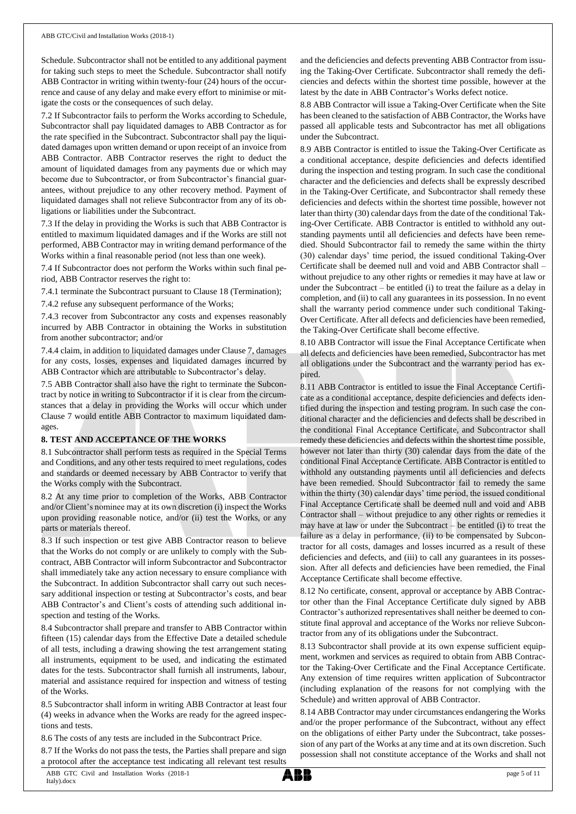Schedule. Subcontractor shall not be entitled to any additional payment for taking such steps to meet the Schedule. Subcontractor shall notify ABB Contractor in writing within twenty-four (24) hours of the occurrence and cause of any delay and make every effort to minimise or mitigate the costs or the consequences of such delay.

7.2 If Subcontractor fails to perform the Works according to Schedule, Subcontractor shall pay liquidated damages to ABB Contractor as for the rate specified in the Subcontract. Subcontractor shall pay the liquidated damages upon written demand or upon receipt of an invoice from ABB Contractor. ABB Contractor reserves the right to deduct the amount of liquidated damages from any payments due or which may become due to Subcontractor, or from Subcontractor's financial guarantees, without prejudice to any other recovery method. Payment of liquidated damages shall not relieve Subcontractor from any of its obligations or liabilities under the Subcontract.

7.3 If the delay in providing the Works is such that ABB Contractor is entitled to maximum liquidated damages and if the Works are still not performed, ABB Contractor may in writing demand performance of the Works within a final reasonable period (not less than one week).

7.4 If Subcontractor does not perform the Works within such final period, ABB Contractor reserves the right to:

7.4.1 terminate the Subcontract pursuant to Clause 18 (Termination);

7.4.2 refuse any subsequent performance of the Works;

7.4.3 recover from Subcontractor any costs and expenses reasonably incurred by ABB Contractor in obtaining the Works in substitution from another subcontractor; and/or

7.4.4 claim, in addition to liquidated damages under Clause 7, damages for any costs, losses, expenses and liquidated damages incurred by ABB Contractor which are attributable to Subcontractor's delay.

7.5 ABB Contractor shall also have the right to terminate the Subcontract by notice in writing to Subcontractor if it is clear from the circumstances that a delay in providing the Works will occur which under Clause 7 would entitle ABB Contractor to maximum liquidated damages.

## **8. TEST AND ACCEPTANCE OF THE WORKS**

8.1 Subcontractor shall perform tests as required in the Special Terms and Conditions, and any other tests required to meet regulations, codes and standards or deemed necessary by ABB Contractor to verify that the Works comply with the Subcontract.

8.2 At any time prior to completion of the Works, ABB Contractor and/or Client's nominee may at its own discretion (i) inspect the Works upon providing reasonable notice, and/or (ii) test the Works, or any parts or materials thereof.

8.3 If such inspection or test give ABB Contractor reason to believe that the Works do not comply or are unlikely to comply with the Subcontract, ABB Contractor will inform Subcontractor and Subcontractor shall immediately take any action necessary to ensure compliance with the Subcontract. In addition Subcontractor shall carry out such necessary additional inspection or testing at Subcontractor's costs, and bear ABB Contractor's and Client's costs of attending such additional inspection and testing of the Works.

8.4 Subcontractor shall prepare and transfer to ABB Contractor within fifteen (15) calendar days from the Effective Date a detailed schedule of all tests, including a drawing showing the test arrangement stating all instruments, equipment to be used, and indicating the estimated dates for the tests. Subcontractor shall furnish all instruments, labour, material and assistance required for inspection and witness of testing of the Works.

8.5 Subcontractor shall inform in writing ABB Contractor at least four (4) weeks in advance when the Works are ready for the agreed inspections and tests.

8.6 The costs of any tests are included in the Subcontract Price.

8.7 If the Works do not pass the tests, the Parties shall prepare and sign a protocol after the acceptance test indicating all relevant test results and the deficiencies and defects preventing ABB Contractor from issuing the Taking-Over Certificate. Subcontractor shall remedy the deficiencies and defects within the shortest time possible, however at the latest by the date in ABB Contractor's Works defect notice.

8.8 ABB Contractor will issue a Taking-Over Certificate when the Site has been cleaned to the satisfaction of ABB Contractor, the Works have passed all applicable tests and Subcontractor has met all obligations under the Subcontract.

8.9 ABB Contractor is entitled to issue the Taking-Over Certificate as a conditional acceptance, despite deficiencies and defects identified during the inspection and testing program. In such case the conditional character and the deficiencies and defects shall be expressly described in the Taking-Over Certificate, and Subcontractor shall remedy these deficiencies and defects within the shortest time possible, however not later than thirty (30) calendar days from the date of the conditional Taking-Over Certificate. ABB Contractor is entitled to withhold any outstanding payments until all deficiencies and defects have been remedied. Should Subcontractor fail to remedy the same within the thirty (30) calendar days' time period, the issued conditional Taking-Over Certificate shall be deemed null and void and ABB Contractor shall – without prejudice to any other rights or remedies it may have at law or under the Subcontract – be entitled (i) to treat the failure as a delay in completion, and (ii) to call any guarantees in its possession. In no event shall the warranty period commence under such conditional Taking-Over Certificate. After all defects and deficiencies have been remedied, the Taking-Over Certificate shall become effective.

8.10 ABB Contractor will issue the Final Acceptance Certificate when all defects and deficiencies have been remedied, Subcontractor has met all obligations under the Subcontract and the warranty period has expired.

8.11 ABB Contractor is entitled to issue the Final Acceptance Certificate as a conditional acceptance, despite deficiencies and defects identified during the inspection and testing program. In such case the conditional character and the deficiencies and defects shall be described in the conditional Final Acceptance Certificate, and Subcontractor shall remedy these deficiencies and defects within the shortest time possible, however not later than thirty (30) calendar days from the date of the conditional Final Acceptance Certificate. ABB Contractor is entitled to withhold any outstanding payments until all deficiencies and defects have been remedied. Should Subcontractor fail to remedy the same within the thirty (30) calendar days' time period, the issued conditional Final Acceptance Certificate shall be deemed null and void and ABB Contractor shall – without prejudice to any other rights or remedies it may have at law or under the Subcontract – be entitled (i) to treat the failure as a delay in performance, (ii) to be compensated by Subcontractor for all costs, damages and losses incurred as a result of these deficiencies and defects, and (iii) to call any guarantees in its possession. After all defects and deficiencies have been remedied, the Final Acceptance Certificate shall become effective.

8.12 No certificate, consent, approval or acceptance by ABB Contractor other than the Final Acceptance Certificate duly signed by ABB Contractor's authorized representatives shall neither be deemed to constitute final approval and acceptance of the Works nor relieve Subcontractor from any of its obligations under the Subcontract.

8.13 Subcontractor shall provide at its own expense sufficient equipment, workmen and services as required to obtain from ABB Contractor the Taking-Over Certificate and the Final Acceptance Certificate. Any extension of time requires written application of Subcontractor (including explanation of the reasons for not complying with the Schedule) and written approval of ABB Contractor.

8.14 ABB Contractor may under circumstances endangering the Works and/or the proper performance of the Subcontract, without any effect on the obligations of either Party under the Subcontract, take possession of any part of the Works at any time and at its own discretion. Such possession shall not constitute acceptance of the Works and shall not

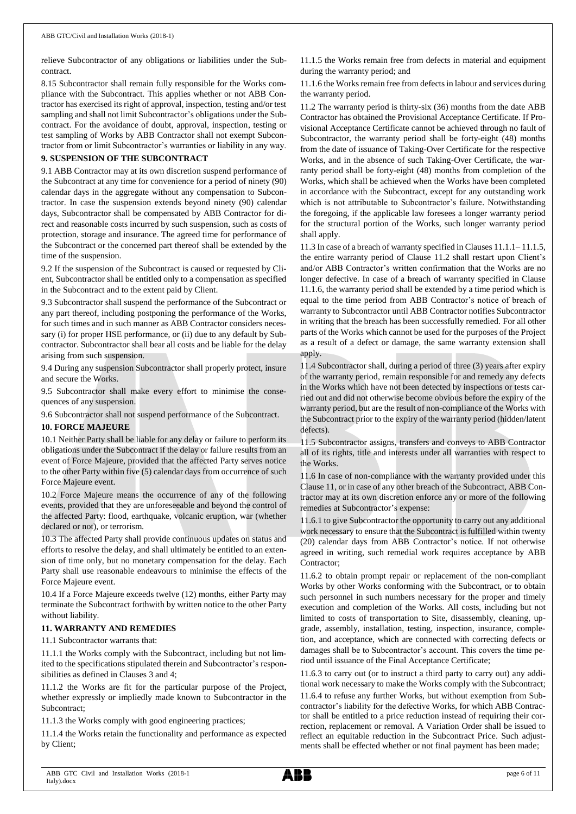relieve Subcontractor of any obligations or liabilities under the Subcontract.

8.15 Subcontractor shall remain fully responsible for the Works compliance with the Subcontract. This applies whether or not ABB Contractor has exercised its right of approval, inspection, testing and/or test sampling and shall not limit Subcontractor's obligations under the Subcontract. For the avoidance of doubt, approval, inspection, testing or test sampling of Works by ABB Contractor shall not exempt Subcontractor from or limit Subcontractor's warranties or liability in any way.

## **9. SUSPENSION OF THE SUBCONTRACT**

9.1 ABB Contractor may at its own discretion suspend performance of the Subcontract at any time for convenience for a period of ninety (90) calendar days in the aggregate without any compensation to Subcontractor. In case the suspension extends beyond ninety (90) calendar days, Subcontractor shall be compensated by ABB Contractor for direct and reasonable costs incurred by such suspension, such as costs of protection, storage and insurance. The agreed time for performance of the Subcontract or the concerned part thereof shall be extended by the time of the suspension.

9.2 If the suspension of the Subcontract is caused or requested by Client, Subcontractor shall be entitled only to a compensation as specified in the Subcontract and to the extent paid by Client.

9.3 Subcontractor shall suspend the performance of the Subcontract or any part thereof, including postponing the performance of the Works, for such times and in such manner as ABB Contractor considers necessary (i) for proper HSE performance, or (ii) due to any default by Subcontractor. Subcontractor shall bear all costs and be liable for the delay arising from such suspension.

9.4 During any suspension Subcontractor shall properly protect, insure and secure the Works.

9.5 Subcontractor shall make every effort to minimise the consequences of any suspension.

9.6 Subcontractor shall not suspend performance of the Subcontract.

# **10. FORCE MAJEURE**

10.1 Neither Party shall be liable for any delay or failure to perform its obligations under the Subcontract if the delay or failure results from an event of Force Majeure, provided that the affected Party serves notice to the other Party within five (5) calendar days from occurrence of such Force Majeure event.

10.2 Force Majeure means the occurrence of any of the following events, provided that they are unforeseeable and beyond the control of the affected Party: flood, earthquake, volcanic eruption, war (whether declared or not), or terrorism.

10.3 The affected Party shall provide continuous updates on status and efforts to resolve the delay, and shall ultimately be entitled to an extension of time only, but no monetary compensation for the delay. Each Party shall use reasonable endeavours to minimise the effects of the Force Majeure event.

10.4 If a Force Majeure exceeds twelve (12) months, either Party may terminate the Subcontract forthwith by written notice to the other Party without liability.

# **11. WARRANTY AND REMEDIES**

11.1 Subcontractor warrants that:

11.1.1 the Works comply with the Subcontract, including but not limited to the specifications stipulated therein and Subcontractor's responsibilities as defined in Clauses 3 and 4;

11.1.2 the Works are fit for the particular purpose of the Project, whether expressly or impliedly made known to Subcontractor in the Subcontract;

11.1.3 the Works comply with good engineering practices;

11.1.4 the Works retain the functionality and performance as expected by Client;

11.1.5 the Works remain free from defects in material and equipment during the warranty period; and

11.1.6 the Works remain free from defects in labour and services during the warranty period.

11.2 The warranty period is thirty-six (36) months from the date ABB Contractor has obtained the Provisional Acceptance Certificate. If Provisional Acceptance Certificate cannot be achieved through no fault of Subcontractor, the warranty period shall be forty-eight (48) months from the date of issuance of Taking-Over Certificate for the respective Works, and in the absence of such Taking-Over Certificate, the warranty period shall be forty-eight (48) months from completion of the Works, which shall be achieved when the Works have been completed in accordance with the Subcontract, except for any outstanding work which is not attributable to Subcontractor's failure. Notwithstanding the foregoing, if the applicable law foresees a longer warranty period for the structural portion of the Works, such longer warranty period shall apply.

11.3 In case of a breach of warranty specified in Clauses 11.1.1– 11.1.5, the entire warranty period of Clause 11.2 shall restart upon Client's and/or ABB Contractor's written confirmation that the Works are no longer defective. In case of a breach of warranty specified in Clause 11.1.6, the warranty period shall be extended by a time period which is equal to the time period from ABB Contractor's notice of breach of warranty to Subcontractor until ABB Contractor notifies Subcontractor in writing that the breach has been successfully remedied. For all other parts of the Works which cannot be used for the purposes of the Project as a result of a defect or damage, the same warranty extension shall apply.

11.4 Subcontractor shall, during a period of three (3) years after expiry of the warranty period, remain responsible for and remedy any defects in the Works which have not been detected by inspections or tests carried out and did not otherwise become obvious before the expiry of the warranty period, but are the result of non-compliance of the Works with the Subcontract prior to the expiry of the warranty period (hidden/latent defects).

11.5 Subcontractor assigns, transfers and conveys to ABB Contractor all of its rights, title and interests under all warranties with respect to the Works.

11.6 In case of non-compliance with the warranty provided under this Clause 11, or in case of any other breach of the Subcontract, ABB Contractor may at its own discretion enforce any or more of the following remedies at Subcontractor's expense:

11.6.1 to give Subcontractor the opportunity to carry out any additional work necessary to ensure that the Subcontract is fulfilled within twenty (20) calendar days from ABB Contractor's notice. If not otherwise agreed in writing, such remedial work requires acceptance by ABB Contractor;

11.6.2 to obtain prompt repair or replacement of the non-compliant Works by other Works conforming with the Subcontract, or to obtain such personnel in such numbers necessary for the proper and timely execution and completion of the Works. All costs, including but not limited to costs of transportation to Site, disassembly, cleaning, upgrade, assembly, installation, testing, inspection, insurance, completion, and acceptance, which are connected with correcting defects or damages shall be to Subcontractor's account. This covers the time period until issuance of the Final Acceptance Certificate;

11.6.3 to carry out (or to instruct a third party to carry out) any additional work necessary to make the Works comply with the Subcontract;

11.6.4 to refuse any further Works, but without exemption from Subcontractor's liability for the defective Works, for which ABB Contractor shall be entitled to a price reduction instead of requiring their correction, replacement or removal. A Variation Order shall be issued to reflect an equitable reduction in the Subcontract Price. Such adjustments shall be effected whether or not final payment has been made;

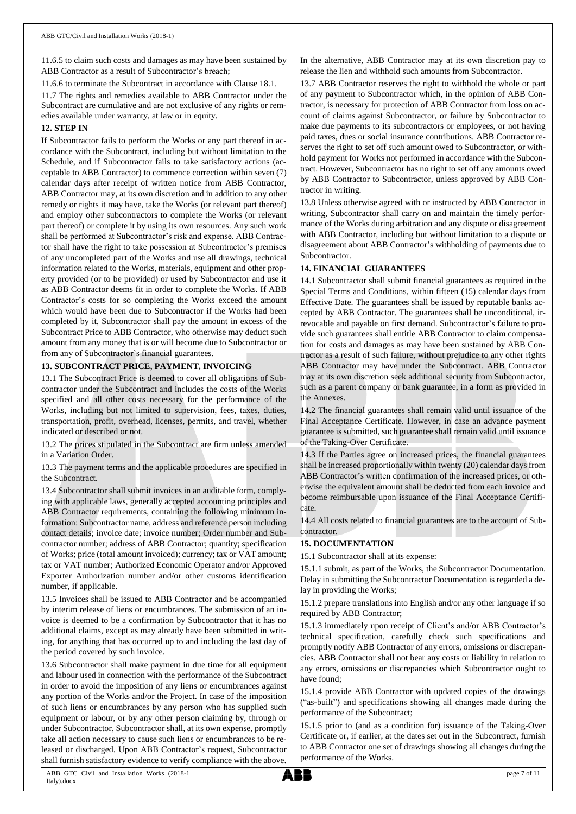11.6.5 to claim such costs and damages as may have been sustained by ABB Contractor as a result of Subcontractor's breach;

11.6.6 to terminate the Subcontract in accordance with Clause 18.1.

11.7 The rights and remedies available to ABB Contractor under the Subcontract are cumulative and are not exclusive of any rights or remedies available under warranty, at law or in equity.

## **12. STEP IN**

If Subcontractor fails to perform the Works or any part thereof in accordance with the Subcontract, including but without limitation to the Schedule, and if Subcontractor fails to take satisfactory actions (acceptable to ABB Contractor) to commence correction within seven (7) calendar days after receipt of written notice from ABB Contractor, ABB Contractor may, at its own discretion and in addition to any other remedy or rights it may have, take the Works (or relevant part thereof) and employ other subcontractors to complete the Works (or relevant part thereof) or complete it by using its own resources. Any such work shall be performed at Subcontractor's risk and expense. ABB Contractor shall have the right to take possession at Subcontractor's premises of any uncompleted part of the Works and use all drawings, technical information related to the Works, materials, equipment and other property provided (or to be provided) or used by Subcontractor and use it as ABB Contractor deems fit in order to complete the Works. If ABB Contractor's costs for so completing the Works exceed the amount which would have been due to Subcontractor if the Works had been completed by it, Subcontractor shall pay the amount in excess of the Subcontract Price to ABB Contractor, who otherwise may deduct such amount from any money that is or will become due to Subcontractor or from any of Subcontractor's financial guarantees.

# **13. SUBCONTRACT PRICE, PAYMENT, INVOICING**

13.1 The Subcontract Price is deemed to cover all obligations of Subcontractor under the Subcontract and includes the costs of the Works specified and all other costs necessary for the performance of the Works, including but not limited to supervision, fees, taxes, duties, transportation, profit, overhead, licenses, permits, and travel, whether indicated or described or not.

13.2 The prices stipulated in the Subcontract are firm unless amended in a Variation Order.

13.3 The payment terms and the applicable procedures are specified in the Subcontract.

13.4 Subcontractor shall submit invoices in an auditable form, complying with applicable laws, generally accepted accounting principles and ABB Contractor requirements, containing the following minimum information: Subcontractor name, address and reference person including contact details; invoice date; invoice number; Order number and Subcontractor number; address of ABB Contractor; quantity; specification of Works; price (total amount invoiced); currency; tax or VAT amount; tax or VAT number; Authorized Economic Operator and/or Approved Exporter Authorization number and/or other customs identification number, if applicable.

13.5 Invoices shall be issued to ABB Contractor and be accompanied by interim release of liens or encumbrances. The submission of an invoice is deemed to be a confirmation by Subcontractor that it has no additional claims, except as may already have been submitted in writing, for anything that has occurred up to and including the last day of the period covered by such invoice.

13.6 Subcontractor shall make payment in due time for all equipment and labour used in connection with the performance of the Subcontract in order to avoid the imposition of any liens or encumbrances against any portion of the Works and/or the Project. In case of the imposition of such liens or encumbrances by any person who has supplied such equipment or labour, or by any other person claiming by, through or under Subcontractor, Subcontractor shall, at its own expense, promptly take all action necessary to cause such liens or encumbrances to be released or discharged. Upon ABB Contractor's request, Subcontractor shall furnish satisfactory evidence to verify compliance with the above.

In the alternative, ABB Contractor may at its own discretion pay to release the lien and withhold such amounts from Subcontractor.

13.7 ABB Contractor reserves the right to withhold the whole or part of any payment to Subcontractor which, in the opinion of ABB Contractor, is necessary for protection of ABB Contractor from loss on account of claims against Subcontractor, or failure by Subcontractor to make due payments to its subcontractors or employees, or not having paid taxes, dues or social insurance contributions. ABB Contractor reserves the right to set off such amount owed to Subcontractor, or withhold payment for Works not performed in accordance with the Subcontract. However, Subcontractor has no right to set off any amounts owed by ABB Contractor to Subcontractor, unless approved by ABB Contractor in writing.

13.8 Unless otherwise agreed with or instructed by ABB Contractor in writing, Subcontractor shall carry on and maintain the timely performance of the Works during arbitration and any dispute or disagreement with ABB Contractor, including but without limitation to a dispute or disagreement about ABB Contractor's withholding of payments due to Subcontractor.

## **14. FINANCIAL GUARANTEES**

14.1 Subcontractor shall submit financial guarantees as required in the Special Terms and Conditions, within fifteen (15) calendar days from Effective Date. The guarantees shall be issued by reputable banks accepted by ABB Contractor. The guarantees shall be unconditional, irrevocable and payable on first demand. Subcontractor's failure to provide such guarantees shall entitle ABB Contractor to claim compensation for costs and damages as may have been sustained by ABB Contractor as a result of such failure, without prejudice to any other rights ABB Contractor may have under the Subcontract. ABB Contractor may at its own discretion seek additional security from Subcontractor, such as a parent company or bank guarantee, in a form as provided in the Annexes.

14.2 The financial guarantees shall remain valid until issuance of the Final Acceptance Certificate. However, in case an advance payment guarantee is submitted, such guarantee shall remain valid until issuance of the Taking-Over Certificate.

14.3 If the Parties agree on increased prices, the financial guarantees shall be increased proportionally within twenty (20) calendar days from ABB Contractor's written confirmation of the increased prices, or otherwise the equivalent amount shall be deducted from each invoice and become reimbursable upon issuance of the Final Acceptance Certificate.

14.4 All costs related to financial guarantees are to the account of Subcontractor.

# **15. DOCUMENTATION**

15.1 Subcontractor shall at its expense:

15.1.1 submit, as part of the Works, the Subcontractor Documentation. Delay in submitting the Subcontractor Documentation is regarded a delay in providing the Works;

15.1.2 prepare translations into English and/or any other language if so required by ABB Contractor;

15.1.3 immediately upon receipt of Client's and/or ABB Contractor's technical specification, carefully check such specifications and promptly notify ABB Contractor of any errors, omissions or discrepancies. ABB Contractor shall not bear any costs or liability in relation to any errors, omissions or discrepancies which Subcontractor ought to have found;

15.1.4 provide ABB Contractor with updated copies of the drawings ("as-built") and specifications showing all changes made during the performance of the Subcontract;

15.1.5 prior to (and as a condition for) issuance of the Taking-Over Certificate or, if earlier, at the dates set out in the Subcontract, furnish to ABB Contractor one set of drawings showing all changes during the performance of the Works.

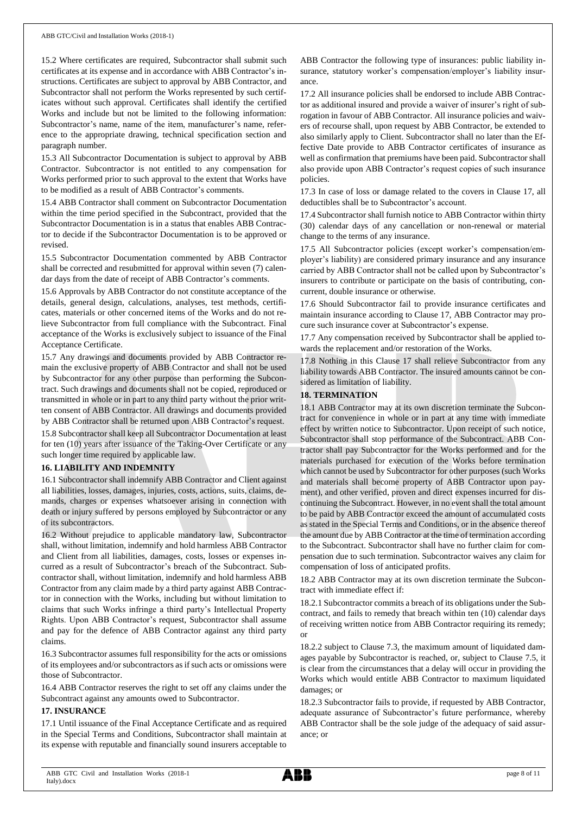15.2 Where certificates are required, Subcontractor shall submit such certificates at its expense and in accordance with ABB Contractor's instructions. Certificates are subject to approval by ABB Contractor, and Subcontractor shall not perform the Works represented by such certificates without such approval. Certificates shall identify the certified Works and include but not be limited to the following information: Subcontractor's name, name of the item, manufacturer's name, reference to the appropriate drawing, technical specification section and paragraph number.

15.3 All Subcontractor Documentation is subject to approval by ABB Contractor. Subcontractor is not entitled to any compensation for Works performed prior to such approval to the extent that Works have to be modified as a result of ABB Contractor's comments.

15.4 ABB Contractor shall comment on Subcontractor Documentation within the time period specified in the Subcontract, provided that the Subcontractor Documentation is in a status that enables ABB Contractor to decide if the Subcontractor Documentation is to be approved or revised.

15.5 Subcontractor Documentation commented by ABB Contractor shall be corrected and resubmitted for approval within seven (7) calendar days from the date of receipt of ABB Contractor's comments.

15.6 Approvals by ABB Contractor do not constitute acceptance of the details, general design, calculations, analyses, test methods, certificates, materials or other concerned items of the Works and do not relieve Subcontractor from full compliance with the Subcontract. Final acceptance of the Works is exclusively subject to issuance of the Final Acceptance Certificate.

15.7 Any drawings and documents provided by ABB Contractor remain the exclusive property of ABB Contractor and shall not be used by Subcontractor for any other purpose than performing the Subcontract. Such drawings and documents shall not be copied, reproduced or transmitted in whole or in part to any third party without the prior written consent of ABB Contractor. All drawings and documents provided by ABB Contractor shall be returned upon ABB Contractor's request. 15.8 Subcontractor shall keep all Subcontractor Documentation at least for ten (10) years after issuance of the Taking-Over Certificate or any such longer time required by applicable law.

## **16. LIABILITY AND INDEMNITY**

16.1 Subcontractor shall indemnify ABB Contractor and Client against all liabilities, losses, damages, injuries, costs, actions, suits, claims, demands, charges or expenses whatsoever arising in connection with death or injury suffered by persons employed by Subcontractor or any of its subcontractors.

16.2 Without prejudice to applicable mandatory law, Subcontractor shall, without limitation, indemnify and hold harmless ABB Contractor and Client from all liabilities, damages, costs, losses or expenses incurred as a result of Subcontractor's breach of the Subcontract. Subcontractor shall, without limitation, indemnify and hold harmless ABB Contractor from any claim made by a third party against ABB Contractor in connection with the Works, including but without limitation to claims that such Works infringe a third party's Intellectual Property Rights. Upon ABB Contractor's request, Subcontractor shall assume and pay for the defence of ABB Contractor against any third party claims.

16.3 Subcontractor assumes full responsibility for the acts or omissions of its employees and/or subcontractors as if such acts or omissions were those of Subcontractor.

16.4 ABB Contractor reserves the right to set off any claims under the Subcontract against any amounts owed to Subcontractor.

## **17. INSURANCE**

17.1 Until issuance of the Final Acceptance Certificate and as required in the Special Terms and Conditions, Subcontractor shall maintain at its expense with reputable and financially sound insurers acceptable to ABB Contractor the following type of insurances: public liability insurance, statutory worker's compensation/employer's liability insurance.

17.2 All insurance policies shall be endorsed to include ABB Contractor as additional insured and provide a waiver of insurer's right of subrogation in favour of ABB Contractor. All insurance policies and waivers of recourse shall, upon request by ABB Contractor, be extended to also similarly apply to Client. Subcontractor shall no later than the Effective Date provide to ABB Contractor certificates of insurance as well as confirmation that premiums have been paid. Subcontractor shall also provide upon ABB Contractor's request copies of such insurance policies.

17.3 In case of loss or damage related to the covers in Clause 17, all deductibles shall be to Subcontractor's account.

17.4 Subcontractor shall furnish notice to ABB Contractor within thirty (30) calendar days of any cancellation or non-renewal or material change to the terms of any insurance.

17.5 All Subcontractor policies (except worker's compensation/employer's liability) are considered primary insurance and any insurance carried by ABB Contractor shall not be called upon by Subcontractor's insurers to contribute or participate on the basis of contributing, concurrent, double insurance or otherwise.

17.6 Should Subcontractor fail to provide insurance certificates and maintain insurance according to Clause 17, ABB Contractor may procure such insurance cover at Subcontractor's expense.

17.7 Any compensation received by Subcontractor shall be applied towards the replacement and/or restoration of the Works.

17.8 Nothing in this Clause 17 shall relieve Subcontractor from any liability towards ABB Contractor. The insured amounts cannot be considered as limitation of liability.

## **18. TERMINATION**

18.1 ABB Contractor may at its own discretion terminate the Subcontract for convenience in whole or in part at any time with immediate effect by written notice to Subcontractor. Upon receipt of such notice, Subcontractor shall stop performance of the Subcontract. ABB Contractor shall pay Subcontractor for the Works performed and for the materials purchased for execution of the Works before termination which cannot be used by Subcontractor for other purposes (such Works and materials shall become property of ABB Contractor upon payment), and other verified, proven and direct expenses incurred for discontinuing the Subcontract. However, in no event shall the total amount to be paid by ABB Contractor exceed the amount of accumulated costs as stated in the Special Terms and Conditions, or in the absence thereof the amount due by ABB Contractor at the time of termination according to the Subcontract. Subcontractor shall have no further claim for compensation due to such termination. Subcontractor waives any claim for compensation of loss of anticipated profits.

18.2 ABB Contractor may at its own discretion terminate the Subcontract with immediate effect if:

18.2.1 Subcontractor commits a breach of its obligations under the Subcontract, and fails to remedy that breach within ten (10) calendar days of receiving written notice from ABB Contractor requiring its remedy; or

18.2.2 subject to Clause 7.3, the maximum amount of liquidated damages payable by Subcontractor is reached, or, subject to Clause 7.5, it is clear from the circumstances that a delay will occur in providing the Works which would entitle ABB Contractor to maximum liquidated damages; or

18.2.3 Subcontractor fails to provide, if requested by ABB Contractor, adequate assurance of Subcontractor's future performance, whereby ABB Contractor shall be the sole judge of the adequacy of said assurance; or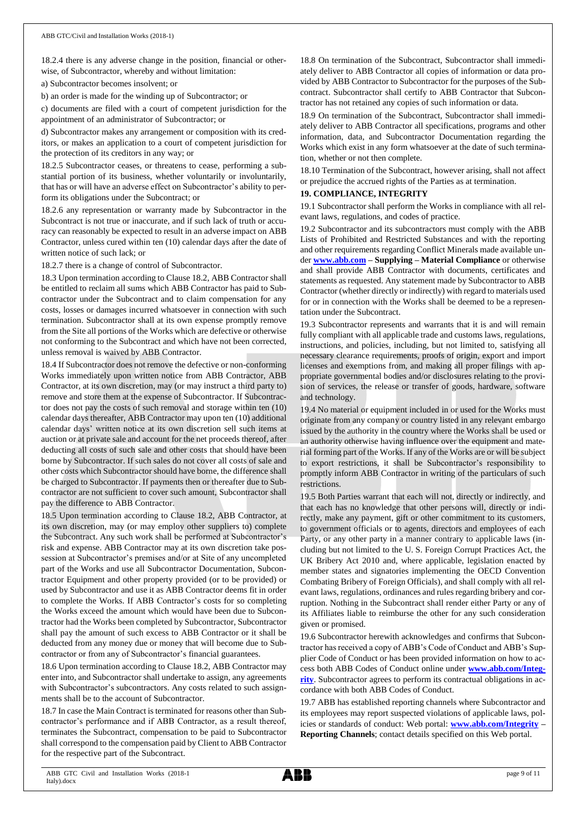18.2.4 there is any adverse change in the position, financial or otherwise, of Subcontractor, whereby and without limitation:

a) Subcontractor becomes insolvent; or

b) an order is made for the winding up of Subcontractor; or

c) documents are filed with a court of competent jurisdiction for the appointment of an administrator of Subcontractor; or

d) Subcontractor makes any arrangement or composition with its creditors, or makes an application to a court of competent jurisdiction for the protection of its creditors in any way; or

18.2.5 Subcontractor ceases, or threatens to cease, performing a substantial portion of its business, whether voluntarily or involuntarily, that has or will have an adverse effect on Subcontractor's ability to perform its obligations under the Subcontract; or

18.2.6 any representation or warranty made by Subcontractor in the Subcontract is not true or inaccurate, and if such lack of truth or accuracy can reasonably be expected to result in an adverse impact on ABB Contractor, unless cured within ten (10) calendar days after the date of written notice of such lack; or

18.2.7 there is a change of control of Subcontractor.

18.3 Upon termination according to Clause 18.2, ABB Contractor shall be entitled to reclaim all sums which ABB Contractor has paid to Subcontractor under the Subcontract and to claim compensation for any costs, losses or damages incurred whatsoever in connection with such termination. Subcontractor shall at its own expense promptly remove from the Site all portions of the Works which are defective or otherwise not conforming to the Subcontract and which have not been corrected, unless removal is waived by ABB Contractor.

18.4 If Subcontractor does not remove the defective or non-conforming Works immediately upon written notice from ABB Contractor, ABB Contractor, at its own discretion, may (or may instruct a third party to) remove and store them at the expense of Subcontractor. If Subcontractor does not pay the costs of such removal and storage within ten (10) calendar days thereafter, ABB Contractor may upon ten (10) additional calendar days' written notice at its own discretion sell such items at auction or at private sale and account for the net proceeds thereof, after deducting all costs of such sale and other costs that should have been borne by Subcontractor. If such sales do not cover all costs of sale and other costs which Subcontractor should have borne, the difference shall be charged to Subcontractor. If payments then or thereafter due to Subcontractor are not sufficient to cover such amount, Subcontractor shall pay the difference to ABB Contractor.

18.5 Upon termination according to Clause 18.2, ABB Contractor, at its own discretion, may (or may employ other suppliers to) complete the Subcontract. Any such work shall be performed at Subcontractor's risk and expense. ABB Contractor may at its own discretion take possession at Subcontractor's premises and/or at Site of any uncompleted part of the Works and use all Subcontractor Documentation, Subcontractor Equipment and other property provided (or to be provided) or used by Subcontractor and use it as ABB Contractor deems fit in order to complete the Works. If ABB Contractor's costs for so completing the Works exceed the amount which would have been due to Subcontractor had the Works been completed by Subcontractor, Subcontractor shall pay the amount of such excess to ABB Contractor or it shall be deducted from any money due or money that will become due to Subcontractor or from any of Subcontractor's financial guarantees.

18.6 Upon termination according to Clause 18.2, ABB Contractor may enter into, and Subcontractor shall undertake to assign, any agreements with Subcontractor's subcontractors. Any costs related to such assignments shall be to the account of Subcontractor.

18.7 In case the Main Contract is terminated for reasons other than Subcontractor's performance and if ABB Contractor, as a result thereof, terminates the Subcontract, compensation to be paid to Subcontractor shall correspond to the compensation paid by Client to ABB Contractor for the respective part of the Subcontract.

18.8 On termination of the Subcontract, Subcontractor shall immediately deliver to ABB Contractor all copies of information or data provided by ABB Contractor to Subcontractor for the purposes of the Subcontract. Subcontractor shall certify to ABB Contractor that Subcontractor has not retained any copies of such information or data.

18.9 On termination of the Subcontract, Subcontractor shall immediately deliver to ABB Contractor all specifications, programs and other information, data, and Subcontractor Documentation regarding the Works which exist in any form whatsoever at the date of such termination, whether or not then complete.

18.10 Termination of the Subcontract, however arising, shall not affect or prejudice the accrued rights of the Parties as at termination.

## **19. COMPLIANCE, INTEGRITY**

19.1 Subcontractor shall perform the Works in compliance with all relevant laws, regulations, and codes of practice.

19.2 Subcontractor and its subcontractors must comply with the ABB Lists of Prohibited and Restricted Substances and with the reporting and other requirements regarding Conflict Minerals made available under **[www.abb.com](http://www.abb.com/) – Supplying – Material Compliance** or otherwise and shall provide ABB Contractor with documents, certificates and statements as requested. Any statement made by Subcontractor to ABB Contractor (whether directly or indirectly) with regard to materials used for or in connection with the Works shall be deemed to be a representation under the Subcontract.

19.3 Subcontractor represents and warrants that it is and will remain fully compliant with all applicable trade and customs laws, regulations, instructions, and policies, including, but not limited to, satisfying all necessary clearance requirements, proofs of origin, export and import licenses and exemptions from, and making all proper filings with appropriate governmental bodies and/or disclosures relating to the provision of services, the release or transfer of goods, hardware, software and technology.

19.4 No material or equipment included in or used for the Works must originate from any company or country listed in any relevant embargo issued by the authority in the country where the Works shall be used or an authority otherwise having influence over the equipment and material forming part of the Works. If any of the Works are or will be subject to export restrictions, it shall be Subcontractor's responsibility to promptly inform ABB Contractor in writing of the particulars of such restrictions.

19.5 Both Parties warrant that each will not, directly or indirectly, and that each has no knowledge that other persons will, directly or indirectly, make any payment, gift or other commitment to its customers, to government officials or to agents, directors and employees of each Party, or any other party in a manner contrary to applicable laws (including but not limited to the U. S. Foreign Corrupt Practices Act, the UK Bribery Act 2010 and, where applicable, legislation enacted by member states and signatories implementing the OECD Convention Combating Bribery of Foreign Officials), and shall comply with all relevant laws, regulations, ordinances and rules regarding bribery and corruption. Nothing in the Subcontract shall render either Party or any of its Affiliates liable to reimburse the other for any such consideration given or promised.

19.6 Subcontractor herewith acknowledges and confirms that Subcontractor has received a copy of ABB's Code of Conduct and ABB's Supplier Code of Conduct or has been provided information on how to access both ABB Codes of Conduct online under **[www.abb.com/Integ](http://www.abb.com/Integrity)[rity](http://www.abb.com/Integrity)**. Subcontractor agrees to perform its contractual obligations in accordance with both ABB Codes of Conduct.

19.7 ABB has established reporting channels where Subcontractor and its employees may report suspected violations of applicable laws, policies or standards of conduct: Web portal: **[www.abb.com/Integrity](http://www.abb.com/Integrity) – Reporting Channels**; contact details specified on this Web portal.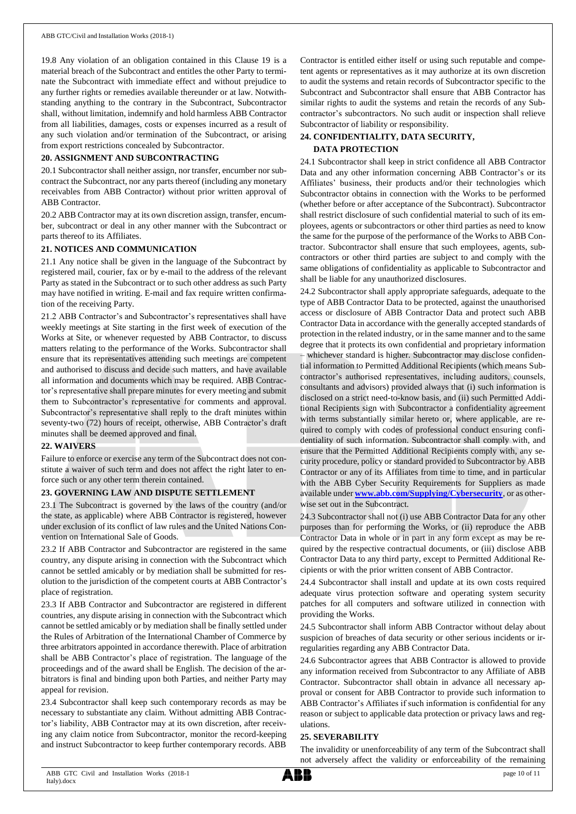19.8 Any violation of an obligation contained in this Clause 19 is a material breach of the Subcontract and entitles the other Party to terminate the Subcontract with immediate effect and without prejudice to any further rights or remedies available thereunder or at law. Notwithstanding anything to the contrary in the Subcontract, Subcontractor shall, without limitation, indemnify and hold harmless ABB Contractor from all liabilities, damages, costs or expenses incurred as a result of any such violation and/or termination of the Subcontract, or arising from export restrictions concealed by Subcontractor.

# **20. ASSIGNMENT AND SUBCONTRACTING**

20.1 Subcontractor shall neither assign, nor transfer, encumber nor subcontract the Subcontract, nor any parts thereof (including any monetary receivables from ABB Contractor) without prior written approval of ABB Contractor.

20.2 ABB Contractor may at its own discretion assign, transfer, encumber, subcontract or deal in any other manner with the Subcontract or parts thereof to its Affiliates.

#### **21. NOTICES AND COMMUNICATION**

21.1 Any notice shall be given in the language of the Subcontract by registered mail, courier, fax or by e-mail to the address of the relevant Party as stated in the Subcontract or to such other address as such Party may have notified in writing. E-mail and fax require written confirmation of the receiving Party.

21.2 ABB Contractor's and Subcontractor's representatives shall have weekly meetings at Site starting in the first week of execution of the Works at Site, or whenever requested by ABB Contractor, to discuss matters relating to the performance of the Works. Subcontractor shall ensure that its representatives attending such meetings are competent and authorised to discuss and decide such matters, and have available all information and documents which may be required. ABB Contractor's representative shall prepare minutes for every meeting and submit them to Subcontractor's representative for comments and approval. Subcontractor's representative shall reply to the draft minutes within seventy-two (72) hours of receipt, otherwise, ABB Contractor's draft minutes shall be deemed approved and final.

## **22. WAIVERS**

Failure to enforce or exercise any term of the Subcontract does not constitute a waiver of such term and does not affect the right later to enforce such or any other term therein contained.

## **23. GOVERNING LAW AND DISPUTE SETTLEMENT**

23.1 The Subcontract is governed by the laws of the country (and/or the state, as applicable) where ABB Contractor is registered, however under exclusion of its conflict of law rules and the United Nations Convention on International Sale of Goods.

23.2 If ABB Contractor and Subcontractor are registered in the same country, any dispute arising in connection with the Subcontract which cannot be settled amicably or by mediation shall be submitted for resolution to the jurisdiction of the competent courts at ABB Contractor's place of registration.

23.3 If ABB Contractor and Subcontractor are registered in different countries, any dispute arising in connection with the Subcontract which cannot be settled amicably or by mediation shall be finally settled under the Rules of Arbitration of the International Chamber of Commerce by three arbitrators appointed in accordance therewith. Place of arbitration shall be ABB Contractor's place of registration. The language of the proceedings and of the award shall be English. The decision of the arbitrators is final and binding upon both Parties, and neither Party may appeal for revision.

23.4 Subcontractor shall keep such contemporary records as may be necessary to substantiate any claim. Without admitting ABB Contractor's liability, ABB Contractor may at its own discretion, after receiving any claim notice from Subcontractor, monitor the record-keeping and instruct Subcontractor to keep further contemporary records. ABB

Contractor is entitled either itself or using such reputable and competent agents or representatives as it may authorize at its own discretion to audit the systems and retain records of Subcontractor specific to the Subcontract and Subcontractor shall ensure that ABB Contractor has similar rights to audit the systems and retain the records of any Subcontractor's subcontractors. No such audit or inspection shall relieve Subcontractor of liability or responsibility.

# **24. CONFIDENTIALITY, DATA SECURITY, DATA PROTECTION**

24.1 Subcontractor shall keep in strict confidence all ABB Contractor Data and any other information concerning ABB Contractor's or its Affiliates' business, their products and/or their technologies which Subcontractor obtains in connection with the Works to be performed (whether before or after acceptance of the Subcontract). Subcontractor shall restrict disclosure of such confidential material to such of its employees, agents or subcontractors or other third parties as need to know the same for the purpose of the performance of the Works to ABB Contractor. Subcontractor shall ensure that such employees, agents, subcontractors or other third parties are subject to and comply with the same obligations of confidentiality as applicable to Subcontractor and shall be liable for any unauthorized disclosures.

24.2 Subcontractor shall apply appropriate safeguards, adequate to the type of ABB Contractor Data to be protected, against the unauthorised access or disclosure of ABB Contractor Data and protect such ABB Contractor Data in accordance with the generally accepted standards of protection in the related industry, or in the same manner and to the same degree that it protects its own confidential and proprietary information – whichever standard is higher. Subcontractor may disclose confidential information to Permitted Additional Recipients (which means Subcontractor's authorised representatives, including auditors, counsels, consultants and advisors) provided always that (i) such information is disclosed on a strict need-to-know basis, and (ii) such Permitted Additional Recipients sign with Subcontractor a confidentiality agreement with terms substantially similar hereto or, where applicable, are required to comply with codes of professional conduct ensuring confidentiality of such information. Subcontractor shall comply with, and ensure that the Permitted Additional Recipients comply with, any security procedure, policy or standard provided to Subcontractor by ABB Contractor or any of its Affiliates from time to time, and in particular with the ABB Cyber Security Requirements for Suppliers as made available under **[www.abb.com/Supplying/Cybersecurity](http://www.abb.com/Supplying/Cybersecurity)**, or as otherwise set out in the Subcontract.

24.3 Subcontractor shall not (i) use ABB Contractor Data for any other purposes than for performing the Works, or (ii) reproduce the ABB Contractor Data in whole or in part in any form except as may be required by the respective contractual documents, or (iii) disclose ABB Contractor Data to any third party, except to Permitted Additional Recipients or with the prior written consent of ABB Contractor.

24.4 Subcontractor shall install and update at its own costs required adequate virus protection software and operating system security patches for all computers and software utilized in connection with providing the Works.

24.5 Subcontractor shall inform ABB Contractor without delay about suspicion of breaches of data security or other serious incidents or irregularities regarding any ABB Contractor Data.

24.6 Subcontractor agrees that ABB Contractor is allowed to provide any information received from Subcontractor to any Affiliate of ABB Contractor. Subcontractor shall obtain in advance all necessary approval or consent for ABB Contractor to provide such information to ABB Contractor's Affiliates if such information is confidential for any reason or subject to applicable data protection or privacy laws and regulations.

## **25. SEVERABILITY**

The invalidity or unenforceability of any term of the Subcontract shall not adversely affect the validity or enforceability of the remaining